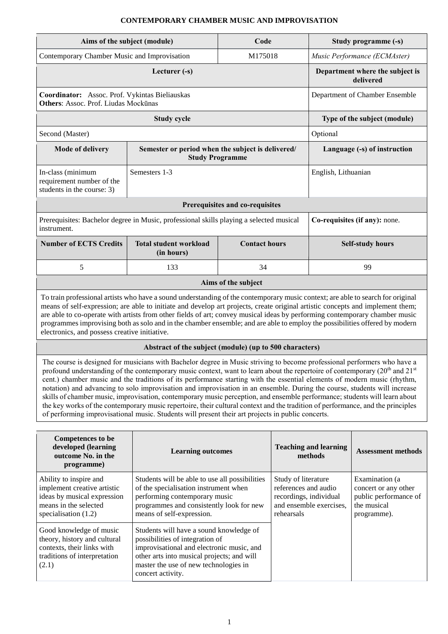## **CONTEMPORARY CHAMBER MUSIC AND IMPROVISATION**

| Aims of the subject (module)                                                                                                                                                                                                                                                                                                                                                                                                                                                                                                                                                                                                                                                                                                                                                                                                                                                               |                                                                                                                                                                                                                                     | Code                            |  |                                                                                                                                                                                                                 | Study programme (-s)         |  |  |  |
|--------------------------------------------------------------------------------------------------------------------------------------------------------------------------------------------------------------------------------------------------------------------------------------------------------------------------------------------------------------------------------------------------------------------------------------------------------------------------------------------------------------------------------------------------------------------------------------------------------------------------------------------------------------------------------------------------------------------------------------------------------------------------------------------------------------------------------------------------------------------------------------------|-------------------------------------------------------------------------------------------------------------------------------------------------------------------------------------------------------------------------------------|---------------------------------|--|-----------------------------------------------------------------------------------------------------------------------------------------------------------------------------------------------------------------|------------------------------|--|--|--|
| Contemporary Chamber Music and Improvisation                                                                                                                                                                                                                                                                                                                                                                                                                                                                                                                                                                                                                                                                                                                                                                                                                                               |                                                                                                                                                                                                                                     | M175018                         |  |                                                                                                                                                                                                                 | Music Performance (ECMAster) |  |  |  |
|                                                                                                                                                                                                                                                                                                                                                                                                                                                                                                                                                                                                                                                                                                                                                                                                                                                                                            | Department where the subject is<br>delivered                                                                                                                                                                                        |                                 |  |                                                                                                                                                                                                                 |                              |  |  |  |
| Coordinator: Assoc. Prof. Vykintas Bieliauskas<br>Others: Assoc. Prof. Liudas Mockūnas                                                                                                                                                                                                                                                                                                                                                                                                                                                                                                                                                                                                                                                                                                                                                                                                     | Department of Chamber Ensemble                                                                                                                                                                                                      |                                 |  |                                                                                                                                                                                                                 |                              |  |  |  |
|                                                                                                                                                                                                                                                                                                                                                                                                                                                                                                                                                                                                                                                                                                                                                                                                                                                                                            | <b>Study cycle</b>                                                                                                                                                                                                                  |                                 |  |                                                                                                                                                                                                                 | Type of the subject (module) |  |  |  |
| Second (Master)                                                                                                                                                                                                                                                                                                                                                                                                                                                                                                                                                                                                                                                                                                                                                                                                                                                                            |                                                                                                                                                                                                                                     |                                 |  | Optional                                                                                                                                                                                                        |                              |  |  |  |
| <b>Mode of delivery</b>                                                                                                                                                                                                                                                                                                                                                                                                                                                                                                                                                                                                                                                                                                                                                                                                                                                                    | Semester or period when the subject is delivered/<br><b>Study Programme</b>                                                                                                                                                         |                                 |  |                                                                                                                                                                                                                 | Language (-s) of instruction |  |  |  |
| In-class (minimum<br>requirement number of the<br>students in the course: 3)                                                                                                                                                                                                                                                                                                                                                                                                                                                                                                                                                                                                                                                                                                                                                                                                               | Semesters 1-3                                                                                                                                                                                                                       |                                 |  | English, Lithuanian                                                                                                                                                                                             |                              |  |  |  |
|                                                                                                                                                                                                                                                                                                                                                                                                                                                                                                                                                                                                                                                                                                                                                                                                                                                                                            |                                                                                                                                                                                                                                     | Prerequisites and co-requisites |  |                                                                                                                                                                                                                 |                              |  |  |  |
| Prerequisites: Bachelor degree in Music, professional skills playing a selected musical<br>instrument.                                                                                                                                                                                                                                                                                                                                                                                                                                                                                                                                                                                                                                                                                                                                                                                     |                                                                                                                                                                                                                                     | Co-requisites (if any): none.   |  |                                                                                                                                                                                                                 |                              |  |  |  |
| <b>Number of ECTS Credits</b>                                                                                                                                                                                                                                                                                                                                                                                                                                                                                                                                                                                                                                                                                                                                                                                                                                                              | <b>Total student workload</b><br>(in hours)                                                                                                                                                                                         | <b>Contact hours</b>            |  |                                                                                                                                                                                                                 | <b>Self-study hours</b>      |  |  |  |
| 5                                                                                                                                                                                                                                                                                                                                                                                                                                                                                                                                                                                                                                                                                                                                                                                                                                                                                          | 133                                                                                                                                                                                                                                 | 34                              |  |                                                                                                                                                                                                                 | 99                           |  |  |  |
|                                                                                                                                                                                                                                                                                                                                                                                                                                                                                                                                                                                                                                                                                                                                                                                                                                                                                            |                                                                                                                                                                                                                                     | Aims of the subject             |  |                                                                                                                                                                                                                 |                              |  |  |  |
| To train professional artists who have a sound understanding of the contemporary music context; are able to search for original<br>means of self-expression; are able to initiate and develop art projects, create original artistic concepts and implement them;<br>are able to co-operate with artists from other fields of art; convey musical ideas by performing contemporary chamber music<br>programmes improvising both as solo and in the chamber ensemble; and are able to employ the possibilities offered by modern<br>electronics, and possess creative initiative.                                                                                                                                                                                                                                                                                                           |                                                                                                                                                                                                                                     |                                 |  |                                                                                                                                                                                                                 |                              |  |  |  |
|                                                                                                                                                                                                                                                                                                                                                                                                                                                                                                                                                                                                                                                                                                                                                                                                                                                                                            | Abstract of the subject (module) (up to 500 characters)                                                                                                                                                                             |                                 |  |                                                                                                                                                                                                                 |                              |  |  |  |
| The course is designed for musicians with Bachelor degree in Music striving to become professional performers who have a<br>profound understanding of the contemporary music context, want to learn about the repertoire of contemporary $(20th$ and $21st$<br>cent.) chamber music and the traditions of its performance starting with the essential elements of modern music (rhythm,<br>notation) and advancing to solo improvisation and improvisation in an ensemble. During the course, students will increase<br>skills of chamber music, improvisation, contemporary music perception, and ensemble performance; students will learn about<br>the key works of the contemporary music repertoire, their cultural context and the tradition of performance, and the principles<br>of performing improvisational music. Students will present their art projects in public concerts. |                                                                                                                                                                                                                                     |                                 |  |                                                                                                                                                                                                                 |                              |  |  |  |
| <b>Competences</b> to be                                                                                                                                                                                                                                                                                                                                                                                                                                                                                                                                                                                                                                                                                                                                                                                                                                                                   |                                                                                                                                                                                                                                     |                                 |  |                                                                                                                                                                                                                 |                              |  |  |  |
| developed (learning<br>outcome No. in the<br>programme)                                                                                                                                                                                                                                                                                                                                                                                                                                                                                                                                                                                                                                                                                                                                                                                                                                    | <b>Learning outcomes</b>                                                                                                                                                                                                            |                                 |  | <b>Teaching and learning</b><br>methods                                                                                                                                                                         | <b>Assessment methods</b>    |  |  |  |
| Ability to inspire and<br>implement creative artistic<br>ideas by musical expression<br>means in the selected<br>specialisation $(1.2)$                                                                                                                                                                                                                                                                                                                                                                                                                                                                                                                                                                                                                                                                                                                                                    | Students will be able to use all possibilities<br>of the specialisation instrument when<br>performing contemporary music<br>programmes and consistently look for new<br>means of self-expression.                                   |                                 |  | Study of literature<br>Examination (a<br>references and audio<br>concert or any other<br>recordings, individual<br>public performance of<br>the musical<br>and ensemble exercises,<br>rehearsals<br>programme). |                              |  |  |  |
| Good knowledge of music<br>theory, history and cultural<br>contexts, their links with<br>traditions of interpretation<br>(2.1)                                                                                                                                                                                                                                                                                                                                                                                                                                                                                                                                                                                                                                                                                                                                                             | Students will have a sound knowledge of<br>possibilities of integration of<br>improvisational and electronic music, and<br>other arts into musical projects; and will<br>master the use of new technologies in<br>concert activity. |                                 |  |                                                                                                                                                                                                                 |                              |  |  |  |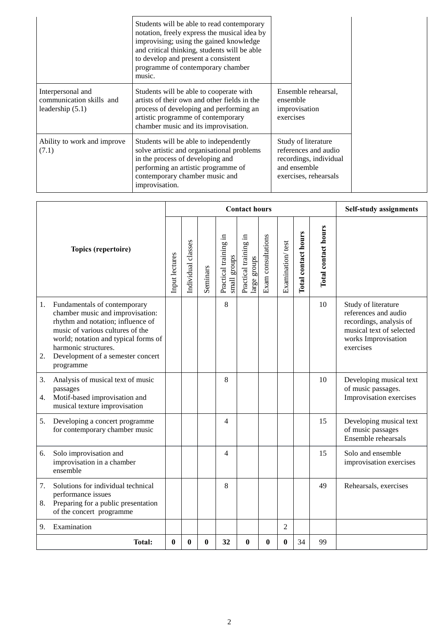|                                                                     | Students will be able to read contemporary<br>notation, freely express the musical idea by<br>improvising; using the gained knowledge<br>and critical thinking, students will be able<br>to develop and present a consistent<br>programme of contemporary chamber<br>music. |                                                                                                                |
|---------------------------------------------------------------------|-----------------------------------------------------------------------------------------------------------------------------------------------------------------------------------------------------------------------------------------------------------------------------|----------------------------------------------------------------------------------------------------------------|
| Interpersonal and<br>communication skills and<br>leadership $(5.1)$ | Students will be able to cooperate with<br>artists of their own and other fields in the<br>process of developing and performing an<br>artistic programme of contemporary<br>chamber music and its improvisation.                                                            | Ensemble rehearsal,<br>ensemble<br>improvisation<br>exercises                                                  |
| Ability to work and improve<br>(7.1)                                | Students will be able to independently<br>solve artistic and organisational problems<br>in the process of developing and<br>performing an artistic programme of<br>contemporary chamber music and<br>improvisation.                                                         | Study of literature<br>references and audio<br>recordings, individual<br>and ensemble<br>exercises, rehearsals |

|                                                                        |                                                                                                                                                                                                                                                             | <b>Contact hours</b> |                    |          |                                          |                                          |                    |                  | Self-study assignments |                     |                                                                                                                                        |
|------------------------------------------------------------------------|-------------------------------------------------------------------------------------------------------------------------------------------------------------------------------------------------------------------------------------------------------------|----------------------|--------------------|----------|------------------------------------------|------------------------------------------|--------------------|------------------|------------------------|---------------------|----------------------------------------------------------------------------------------------------------------------------------------|
|                                                                        | Topics (repertoire)                                                                                                                                                                                                                                         | Input lectures       | Individual classes | Seminars | Ξ.<br>Practical training<br>small groups | Ξ.<br>Practical training<br>large groups | Exam consultations | Examination/test | Total contact hours    | Total contact hours |                                                                                                                                        |
| 1.<br>2.                                                               | Fundamentals of contemporary<br>chamber music and improvisation:<br>rhythm and notation; influence of<br>music of various cultures of the<br>world; notation and typical forms of<br>harmonic structures.<br>Development of a semester concert<br>programme |                      |                    |          | 8                                        |                                          |                    |                  |                        | 10                  | Study of literature<br>references and audio<br>recordings, analysis of<br>musical text of selected<br>works Improvisation<br>exercises |
| 3.<br>4.                                                               | Analysis of musical text of music<br>passages<br>Motif-based improvisation and<br>musical texture improvisation                                                                                                                                             |                      |                    |          | 8                                        |                                          |                    |                  |                        | 10                  | Developing musical text<br>of music passages.<br>Improvisation exercises                                                               |
| 5.<br>Developing a concert programme<br>for contemporary chamber music |                                                                                                                                                                                                                                                             |                      |                    |          | 4                                        |                                          |                    |                  |                        | 15                  | Developing musical text<br>of music passages<br>Ensemble rehearsals                                                                    |
| 6.                                                                     | Solo improvisation and<br>improvisation in a chamber<br>ensemble                                                                                                                                                                                            |                      |                    |          | 4                                        |                                          |                    |                  |                        | 15                  | Solo and ensemble<br>improvisation exercises                                                                                           |
| 7.<br>8.                                                               | Solutions for individual technical<br>performance issues<br>Preparing for a public presentation<br>of the concert programme                                                                                                                                 |                      |                    |          | 8                                        |                                          |                    |                  |                        | 49                  | Rehearsals, exercises                                                                                                                  |
| 9.                                                                     | Examination                                                                                                                                                                                                                                                 |                      |                    |          |                                          |                                          |                    | $\overline{2}$   |                        |                     |                                                                                                                                        |
|                                                                        | <b>Total:</b>                                                                                                                                                                                                                                               | $\bf{0}$             | $\bf{0}$           | $\bf{0}$ | 32                                       | $\bf{0}$                                 | $\bf{0}$           | 0                | 34                     | 99                  |                                                                                                                                        |